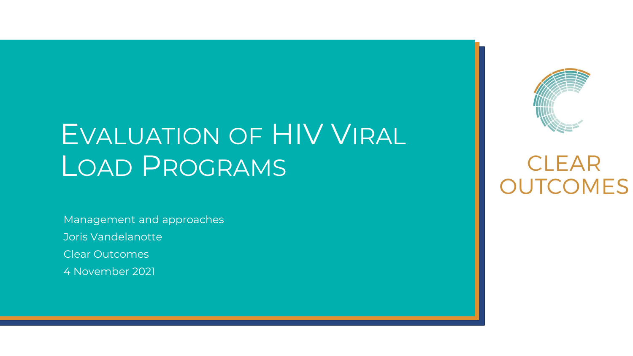# EVALUATION OF HIV VIRAL LOAD PROGRAMS

Management and approaches

Joris Vandelanotte

Clear Outcomes

4 November 2021

**CLEAR OUTCOMES**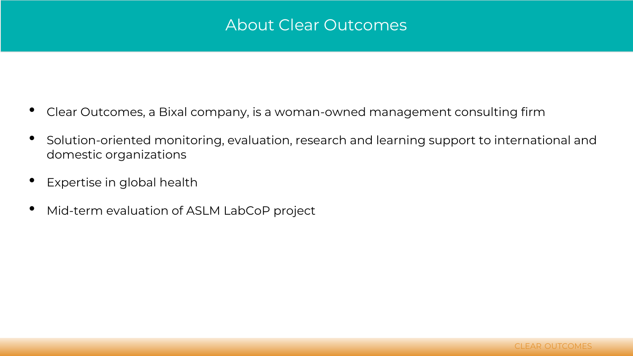### About Clear Outcomes

- Clear Outcomes, a Bixal company, is a woman-owned management consulting firm
- Solution-oriented monitoring, evaluation, research and learning support to international and domestic organizations
- Expertise in global health
- Mid-term evaluation of ASLM LabCoP project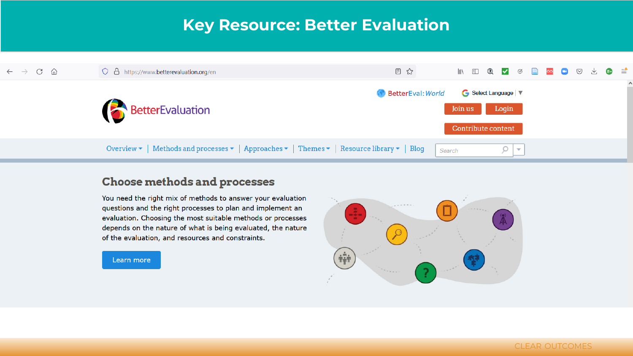### **Key Resource: Better Evaluation**



#### **Choose methods and processes**

You need the right mix of methods to answer your evaluation questions and the right processes to plan and implement an evaluation. Choosing the most suitable methods or processes depends on the nature of what is being evaluated, the nature of the evaluation, and resources and constraints.

#### Learn more

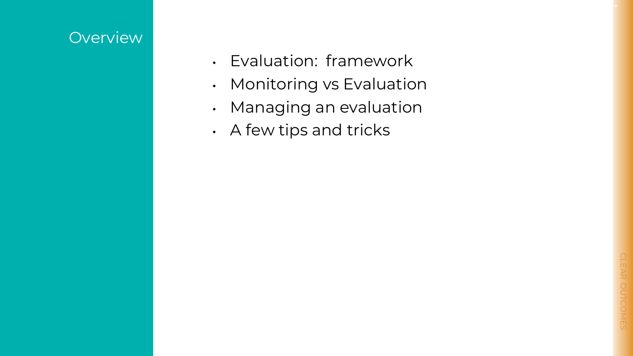### **Overview**

- Evaluation: framework
- Monitoring vs Evaluation
- Managing an evaluation
- A few tips and tricks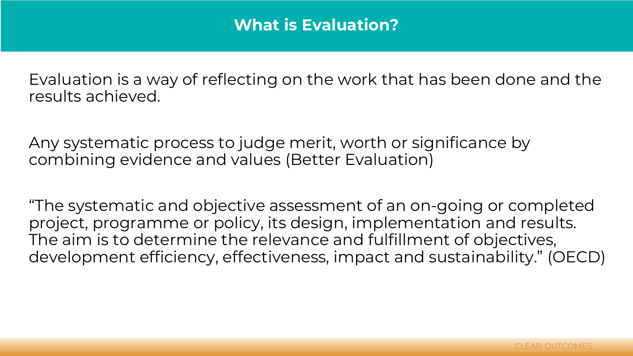Evaluation is a way of reflecting on the work that has been done and the results achieved.

Any systematic process to judge merit, worth or significance by combining evidence and values (Better Evaluation)

"The systematic and objective assessment of an on-going or completed project, programme or policy, its design, implementation and results. The aim is to determine the relevance and fulfillment of objectives, development efficiency, effectiveness, impact and sustainability." (OECD)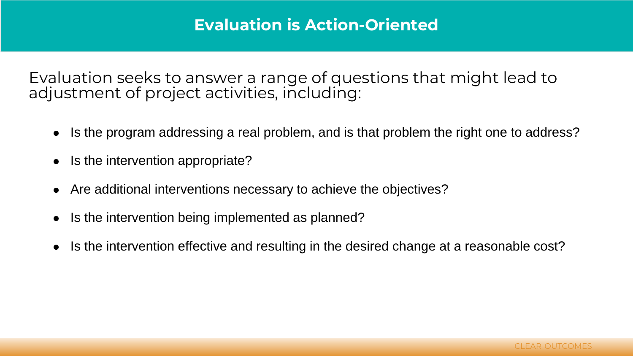## **Evaluation is Action-Oriented**

Evaluation seeks to answer a range of questions that might lead to adjustment of project activities, including:

- Is the program addressing a real problem, and is that problem the right one to address?
- Is the intervention appropriate?
- Are additional interventions necessary to achieve the objectives?
- Is the intervention being implemented as planned?
- Is the intervention effective and resulting in the desired change at a reasonable cost?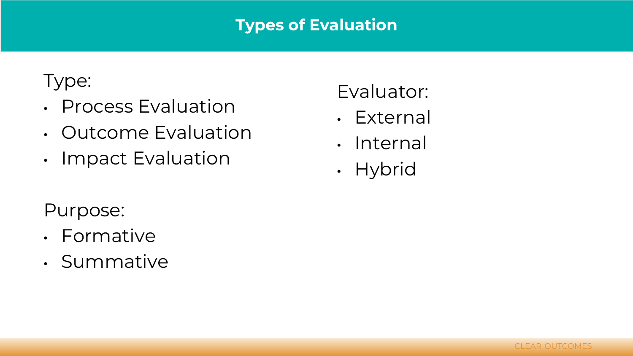## **Types of Evaluation**

## Type:

- Process Evaluation
- Outcome Evaluation
- Impact Evaluation
- Evaluator:
- External
- Internal
- Hybrid

Purpose:

- Formative
- Summative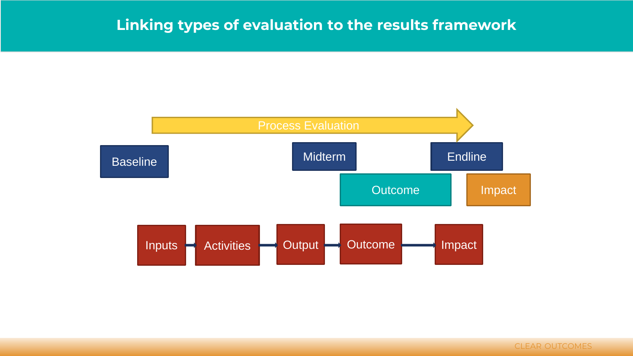#### **Linking types of evaluation to the results framework**

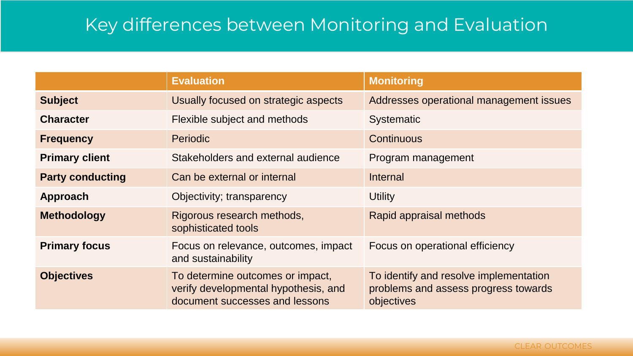## Key differences between Monitoring and Evaluation

|                         | <b>Evaluation</b>                                                                                          | <b>Monitoring</b>                                                                            |
|-------------------------|------------------------------------------------------------------------------------------------------------|----------------------------------------------------------------------------------------------|
| <b>Subject</b>          | Usually focused on strategic aspects<br>Addresses operational management issues                            |                                                                                              |
| <b>Character</b>        | Flexible subject and methods<br><b>Systematic</b>                                                          |                                                                                              |
| <b>Frequency</b>        | Continuous<br><b>Periodic</b>                                                                              |                                                                                              |
| <b>Primary client</b>   | Stakeholders and external audience                                                                         | Program management                                                                           |
| <b>Party conducting</b> | Can be external or internal<br>Internal                                                                    |                                                                                              |
| <b>Approach</b>         | Objectivity; transparency<br><b>Utility</b>                                                                |                                                                                              |
| <b>Methodology</b>      | Rigorous research methods,<br>Rapid appraisal methods<br>sophisticated tools                               |                                                                                              |
| <b>Primary focus</b>    | Focus on operational efficiency<br>Focus on relevance, outcomes, impact<br>and sustainability              |                                                                                              |
| <b>Objectives</b>       | To determine outcomes or impact,<br>verify developmental hypothesis, and<br>document successes and lessons | To identify and resolve implementation<br>problems and assess progress towards<br>objectives |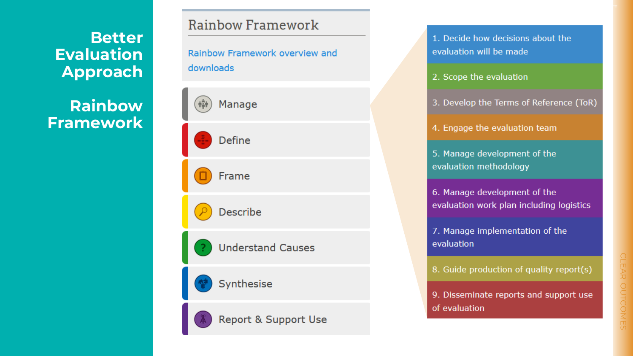### **Better Evaluation Approach**

**Rainbow Framework**



## 1. Decide how decisions about the evaluation will be made 2. Scope the evaluation 3. Develop the Terms of Reference (ToR) 4. Engage the evaluation team 5. Manage development of the evaluation methodology 6. Manage development of the evaluation work plan including logistics 7. Manage implementation of the evaluation 8. Guide production of quality report(s) 9. Disseminate reports and support use of evaluation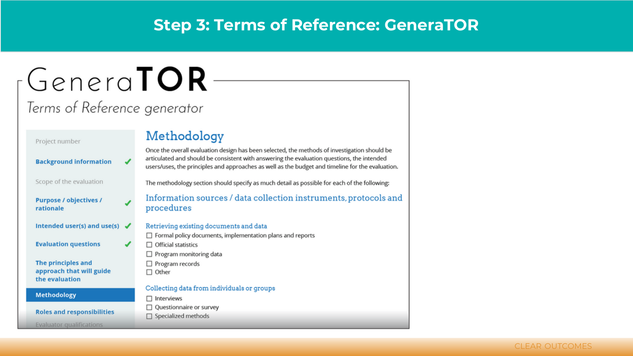## **Step 3: Terms of Reference: GeneraTOR**

| GeneraTOR                                  |                                                                                                                                                                                                                                                                                                |
|--------------------------------------------|------------------------------------------------------------------------------------------------------------------------------------------------------------------------------------------------------------------------------------------------------------------------------------------------|
|                                            |                                                                                                                                                                                                                                                                                                |
|                                            |                                                                                                                                                                                                                                                                                                |
| Terms of Reference generator               |                                                                                                                                                                                                                                                                                                |
|                                            |                                                                                                                                                                                                                                                                                                |
| Project number                             | Methodology                                                                                                                                                                                                                                                                                    |
| <b>Background information</b>              | Once the overall evaluation design has been selected, the methods of investigation should be<br>articulated and should be consistent with answering the evaluation questions, the intended<br>users/uses, the principles and approaches as well as the budget and timeline for the evaluation. |
| Scope of the evaluation                    | The methodology section should specify as much detail as possible for each of the following:                                                                                                                                                                                                   |
| <b>Purpose / objectives /</b><br>rationale | Information sources / data collection instruments, protocols and<br>procedures                                                                                                                                                                                                                 |
| Intended user(s) and use(s) $\checkmark$   | Retrieving existing documents and data<br>Formal policy documents, implementation plans and reports                                                                                                                                                                                            |
| <b>Evaluation questions</b>                | <b>Official statistics</b>                                                                                                                                                                                                                                                                     |
|                                            | Program monitoring data                                                                                                                                                                                                                                                                        |
| The principles and                         | Program records                                                                                                                                                                                                                                                                                |
| approach that will guide<br>the evaluation | $\Box$ Other                                                                                                                                                                                                                                                                                   |
|                                            | Collecting data from individuals or groups                                                                                                                                                                                                                                                     |
| <b>Methodology</b>                         | Interviews                                                                                                                                                                                                                                                                                     |
| <b>Roles and responsibilities</b>          | Questionnaire or survey<br>Specialized methods                                                                                                                                                                                                                                                 |
| <b>Evaluator qualifications</b>            |                                                                                                                                                                                                                                                                                                |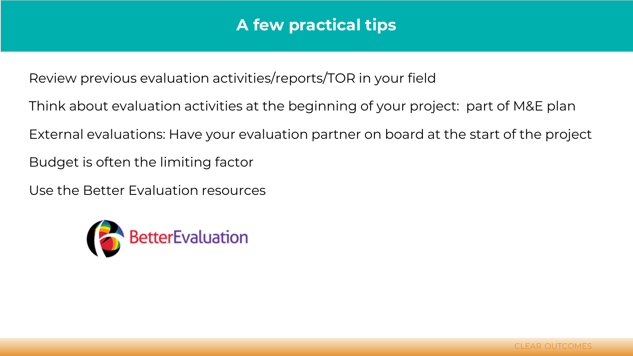## **A few practical tips**

Review previous evaluation activities/reports/TOR in your field

Think about evaluation activities at the beginning of your project: part of M&E plan

External evaluations: Have your evaluation partner on board at the start of the project

Budget is often the limiting factor

Use the Better Evaluation resources

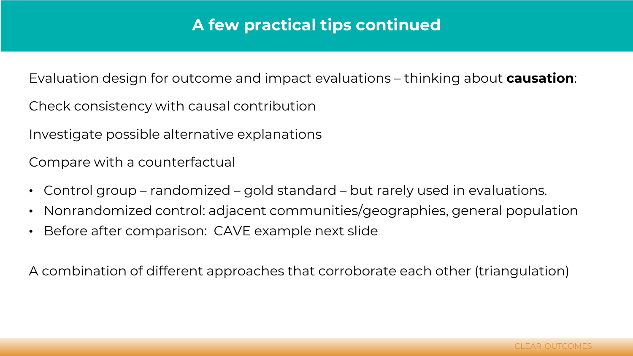Evaluation design for outcome and impact evaluations – thinking about **causation**:

Check consistency with causal contribution

Investigate possible alternative explanations

Compare with a counterfactual

- Control group randomized gold standard but rarely used in evaluations.
- Nonrandomized control: adjacent communities/geographies, general population
- Before after comparison: CAVE example next slide

A combination of different approaches that corroborate each other (triangulation)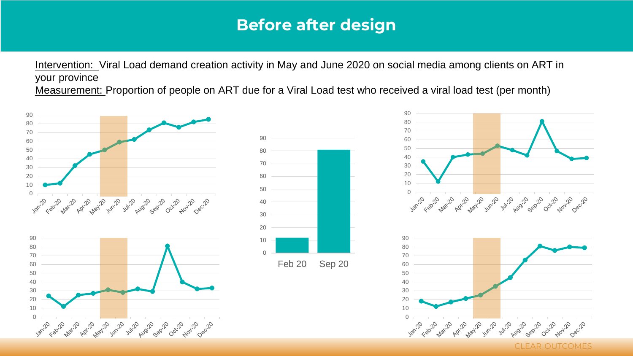## **Before after design**

#### Intervention: Viral Load demand creation activity in May and June 2020 on social media among clients on ART in your province Measurement: Proportion of people on ART due for a Viral Load test who received a viral load test (per month)

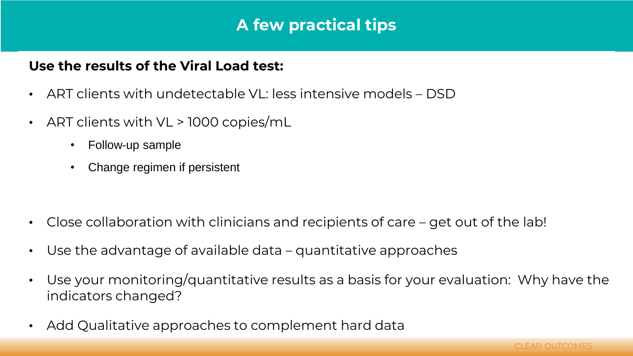## **A few practical tips**

#### **Use the results of the Viral Load test:**

- ART clients with undetectable VL: less intensive models DSD
- ART clients with VL > 1000 copies/mL
	- Follow-up sample
	- Change regimen if persistent

- Close collaboration with clinicians and recipients of care get out of the lab!
- Use the advantage of available data quantitative approaches
- Use your monitoring/quantitative results as a basis for your evaluation: Why have the indicators changed?
- Add Qualitative approaches to complement hard data